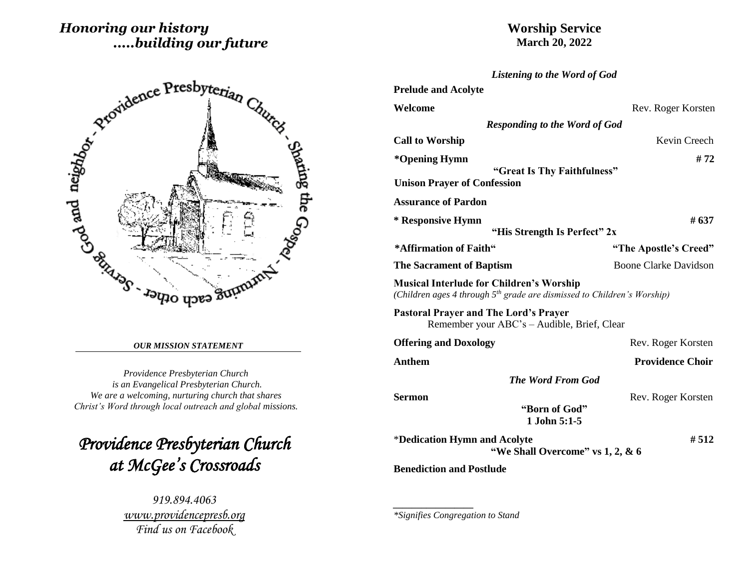# *Honoring our history .....building our future*





#### *OUR MISSION STATEMENT*

*Providence Presbyterian Church is an Evangelical Presbyterian Church. We are a welcoming, nurturing church that shares Christ's Word through local outreach and global missions.*

*Providence Presbyterian Church at McGee's Crossroads* 

> *919.894.4063 [www.providencepresb.org](http://www.providencepresb.org/) Find us on Facebook*

| <b>Listening to the Word of God</b>                                                                                                    |                              |
|----------------------------------------------------------------------------------------------------------------------------------------|------------------------------|
| <b>Prelude and Acolyte</b>                                                                                                             |                              |
| Welcome                                                                                                                                | Rev. Roger Korsten           |
| <b>Responding to the Word of God</b>                                                                                                   |                              |
| <b>Call to Worship</b>                                                                                                                 | Kevin Creech                 |
| *Opening Hymn                                                                                                                          | #72                          |
| "Great Is Thy Faithfulness"<br><b>Unison Prayer of Confession</b>                                                                      |                              |
| <b>Assurance of Pardon</b>                                                                                                             |                              |
| * Responsive Hymn<br>"His Strength Is Perfect" 2x                                                                                      | # 637                        |
| *Affirmation of Faith"                                                                                                                 | "The Apostle's Creed"        |
| <b>The Sacrament of Baptism</b>                                                                                                        | <b>Boone Clarke Davidson</b> |
| <b>Musical Interlude for Children's Worship</b><br>(Children ages 4 through 5 <sup>th</sup> grade are dismissed to Children's Worship) |                              |
| <b>Pastoral Prayer and The Lord's Prayer</b><br>Remember your ABC's - Audible, Brief, Clear                                            |                              |
| <b>Offering and Doxology</b>                                                                                                           | Rev. Roger Korsten           |
| <b>Anthem</b>                                                                                                                          | <b>Providence Choir</b>      |
| <b>The Word From God</b>                                                                                                               |                              |
| <b>Sermon</b>                                                                                                                          | Rev. Roger Korsten           |
| "Born of God"<br>1 John 5:1-5                                                                                                          |                              |
| *Dedication Hymn and Acolyte<br>"We Shall Overcome" vs 1, 2, & 6                                                                       | #512                         |
| <b>Benediction and Postlude</b>                                                                                                        |                              |

*\*Signifies Congregation to Stand*

*\_\_\_\_\_\_\_\_\_\_\_\_\_\_\_\_\_*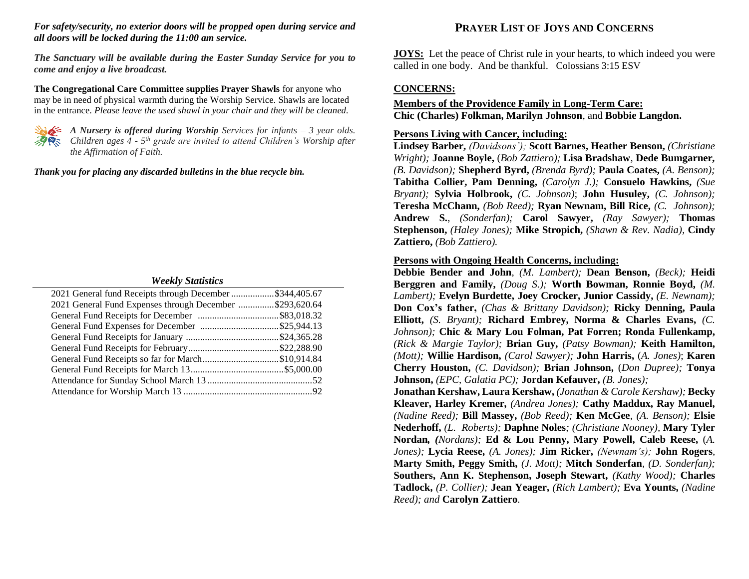#### *For safety/security, no exterior doors will be propped open during service and all doors will be locked during the 11:00 am service.*

*The Sanctuary will be available during the Easter Sunday Service for you to come and enjoy a live broadcast.*

**The Congregational Care Committee supplies Prayer Shawls** for anyone who may be in need of physical warmth during the Worship Service. Shawls are located in the entrance. *Please leave the used shawl in your chair and they will be cleaned.*



*A Nursery is offered during Worship Services for infants – 3 year olds. Children ages 4 - 5 th grade are invited to attend Children's Worship after the Affirmation of Faith.*

*Thank you for placing any discarded bulletins in the blue recycle bin.*

#### *Weekly Statistics*

| 2021 General fund Receipts through December \$344,405.67 |  |
|----------------------------------------------------------|--|
| 2021 General Fund Expenses through December \$293,620.64 |  |
|                                                          |  |
|                                                          |  |
|                                                          |  |
|                                                          |  |
| General Fund Receipts so far for March\$10,914.84        |  |
|                                                          |  |
|                                                          |  |
|                                                          |  |

## **PRAYER LIST OF JOYS AND CONCERNS**

**JOYS:** Let the peace of Christ rule in your hearts, to which indeed you were called in one body. And be thankful. Colossians 3:15 ESV

## **CONCERNS:**

## **Members of the Providence Family in Long-Term Care: Chic (Charles) Folkman, Marilyn Johnson**, and **Bobbie Langdon.**

## **Persons Living with Cancer, including:**

**Lindsey Barber,** *(Davidsons');* **Scott Barnes, Heather Benson,** *(Christiane Wright);* **Joanne Boyle,** (*Bob Zattiero);* **Lisa Bradshaw***,* **Dede Bumgarner***, (B. Davidson);* **Shepherd Byrd,** *(Brenda Byrd);* **Paula Coates,** *(A. Benson);*  **Tabitha Collier, Pam Denning,** *(Carolyn J.);* **Consuelo Hawkins,** *(Sue Bryant);* **Sylvia Holbrook,** *(C. Johnson)*; **John Husuley,** *(C. Johnson);*  **Teresha McChann,** *(Bob Reed);* **Ryan Newnam, Bill Rice,** *(C. Johnson);*  **Andrew S.**, *(Sonderfan);* **Carol Sawyer,** *(Ray Sawyer);* **Thomas Stephenson,** *(Haley Jones);* **Mike Stropich,** *(Shawn & Rev. Nadia),* **Cindy Zattiero,** *(Bob Zattiero).*

## **Persons with Ongoing Health Concerns, including:**

**Debbie Bender and John***, (M. Lambert);* **Dean Benson,** *(Beck);* **Heidi Berggren and Family,** *(Doug S.);* **Worth Bowman, Ronnie Boyd,** *(M. Lambert);* **Evelyn Burdette, Joey Crocker, Junior Cassidy,** *(E. Newnam);* **Don Cox's father,** *(Chas & Brittany Davidson);* **Ricky Denning, Paula Elliott,** *(S. Bryant);* **Richard Embrey, Norma & Charles Evans,** *(C. Johnson);* **Chic & Mary Lou Folman, Pat Forren; Ronda Fullenkamp,**  *(Rick & Margie Taylor);* **Brian Guy,** *(Patsy Bowman);* **Keith Hamilton,** *(Mott);* **Willie Hardison,** *(Carol Sawyer);* **John Harris,** (*A. Jones)*; **Karen Cherry Houston,** *(C. Davidson);* **Brian Johnson,** (*Don Dupree);* **Tonya Johnson,** *(EPC, Galatia PC);* **Jordan Kefauver,** *(B. Jones);* **Jonathan Kershaw, Laura Kershaw,** *(Jonathan & Carole Kershaw);* **Becky** 

**Kleaver, Harley Kremer***, (Andrea Jones);* **Cathy Maddux, Ray Manuel,**  *(Nadine Reed);* **Bill Massey,** *(Bob Reed);* **Ken McGee***, (A. Benson);* **Elsie Nederhoff,** *(L. Roberts);* **Daphne Noles***; (Christiane Nooney),* **Mary Tyler Nordan***, (Nordans);* **Ed & Lou Penny, Mary Powell, Caleb Reese,** (*A. Jones);* **Lycia Reese,** *(A. Jones);* **Jim Ricker,** *(Newnam's);* **John Rogers***,*  **Marty Smith, Peggy Smith,** *(J. Mott);* **Mitch Sonderfan***, (D. Sonderfan);* **Southers, Ann K. Stephenson, Joseph Stewart,** *(Kathy Wood);* **Charles Tadlock,** *(P. Collier);* **Jean Yeager,** *(Rich Lambert);* **Eva Younts,** *(Nadine Reed); and* **Carolyn Zattiero***.*